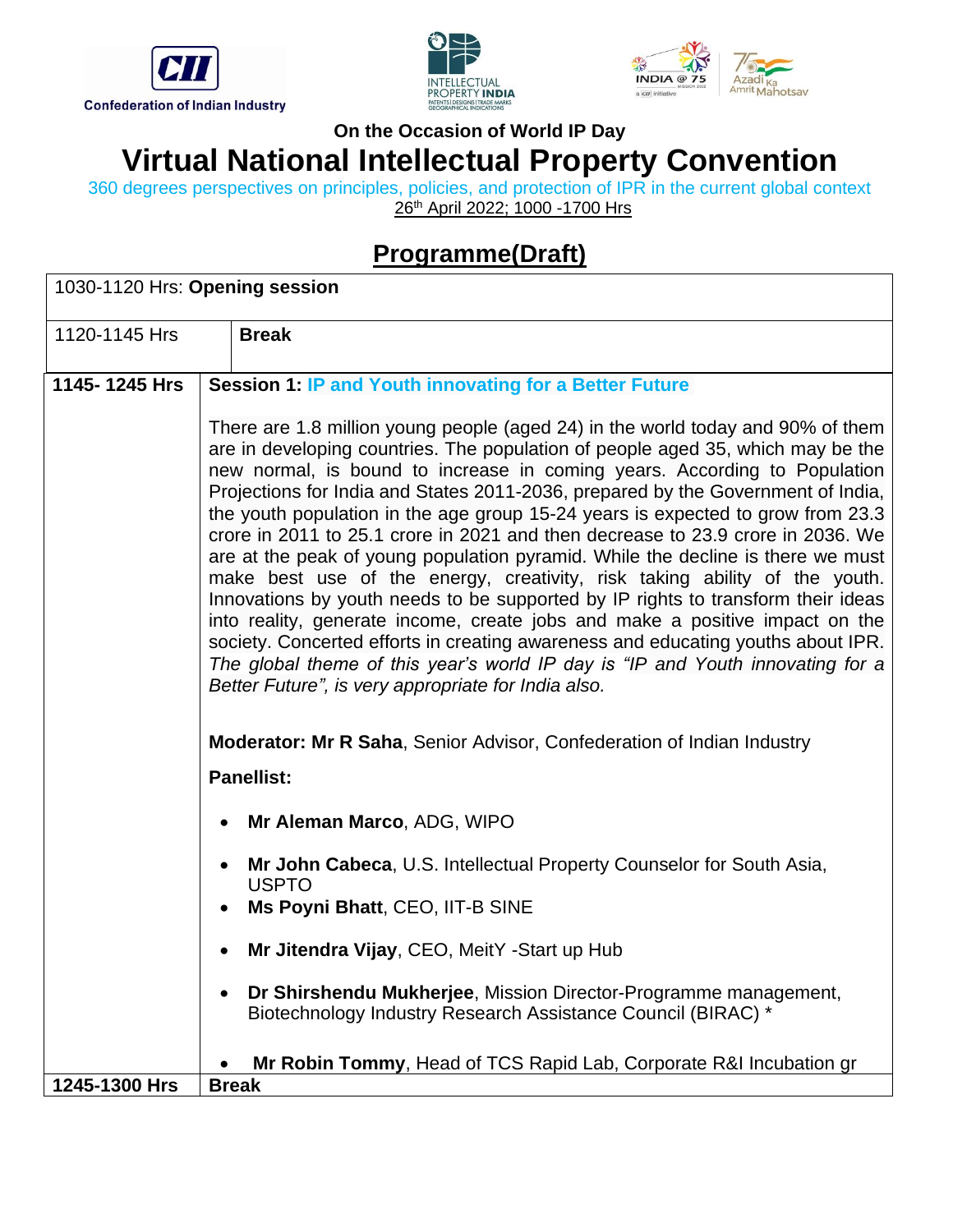





360 degrees perspectives on principles, policies, and protection of IPR in the current global context 26<sup>th</sup> April 2022; 1000 -1700 Hrs

# **Programme(Draft)**

| 1030-1120 Hrs: Opening session |                                                                                                                                                                                                                                                                                                                                                                                                                                                                                                                                                                                                                                                                                                                                                                                                                                                                                                                                                                                                                                                                             |  |
|--------------------------------|-----------------------------------------------------------------------------------------------------------------------------------------------------------------------------------------------------------------------------------------------------------------------------------------------------------------------------------------------------------------------------------------------------------------------------------------------------------------------------------------------------------------------------------------------------------------------------------------------------------------------------------------------------------------------------------------------------------------------------------------------------------------------------------------------------------------------------------------------------------------------------------------------------------------------------------------------------------------------------------------------------------------------------------------------------------------------------|--|
| 1120-1145 Hrs                  | <b>Break</b>                                                                                                                                                                                                                                                                                                                                                                                                                                                                                                                                                                                                                                                                                                                                                                                                                                                                                                                                                                                                                                                                |  |
| 1145-1245 Hrs                  | <b>Session 1: IP and Youth innovating for a Better Future</b>                                                                                                                                                                                                                                                                                                                                                                                                                                                                                                                                                                                                                                                                                                                                                                                                                                                                                                                                                                                                               |  |
|                                | There are 1.8 million young people (aged 24) in the world today and 90% of them<br>are in developing countries. The population of people aged 35, which may be the<br>new normal, is bound to increase in coming years. According to Population<br>Projections for India and States 2011-2036, prepared by the Government of India,<br>the youth population in the age group 15-24 years is expected to grow from 23.3<br>crore in 2011 to 25.1 crore in 2021 and then decrease to 23.9 crore in 2036. We<br>are at the peak of young population pyramid. While the decline is there we must<br>make best use of the energy, creativity, risk taking ability of the youth.<br>Innovations by youth needs to be supported by IP rights to transform their ideas<br>into reality, generate income, create jobs and make a positive impact on the<br>society. Concerted efforts in creating awareness and educating youths about IPR.<br>The global theme of this year's world IP day is "IP and Youth innovating for a<br>Better Future", is very appropriate for India also. |  |
|                                | <b>Moderator: Mr R Saha, Senior Advisor, Confederation of Indian Industry</b><br><b>Panellist:</b>                                                                                                                                                                                                                                                                                                                                                                                                                                                                                                                                                                                                                                                                                                                                                                                                                                                                                                                                                                          |  |
|                                | Mr Aleman Marco, ADG, WIPO                                                                                                                                                                                                                                                                                                                                                                                                                                                                                                                                                                                                                                                                                                                                                                                                                                                                                                                                                                                                                                                  |  |
|                                | Mr John Cabeca, U.S. Intellectual Property Counselor for South Asia,<br><b>USPTO</b>                                                                                                                                                                                                                                                                                                                                                                                                                                                                                                                                                                                                                                                                                                                                                                                                                                                                                                                                                                                        |  |
|                                | Ms Poyni Bhatt, CEO, IIT-B SINE                                                                                                                                                                                                                                                                                                                                                                                                                                                                                                                                                                                                                                                                                                                                                                                                                                                                                                                                                                                                                                             |  |
|                                | Mr Jitendra Vijay, CEO, MeitY -Start up Hub                                                                                                                                                                                                                                                                                                                                                                                                                                                                                                                                                                                                                                                                                                                                                                                                                                                                                                                                                                                                                                 |  |
|                                | Dr Shirshendu Mukherjee, Mission Director-Programme management,<br>Biotechnology Industry Research Assistance Council (BIRAC) *                                                                                                                                                                                                                                                                                                                                                                                                                                                                                                                                                                                                                                                                                                                                                                                                                                                                                                                                             |  |
| 1245-1300 Hrs                  | Mr Robin Tommy, Head of TCS Rapid Lab, Corporate R&I Incubation gr<br><b>Break</b>                                                                                                                                                                                                                                                                                                                                                                                                                                                                                                                                                                                                                                                                                                                                                                                                                                                                                                                                                                                          |  |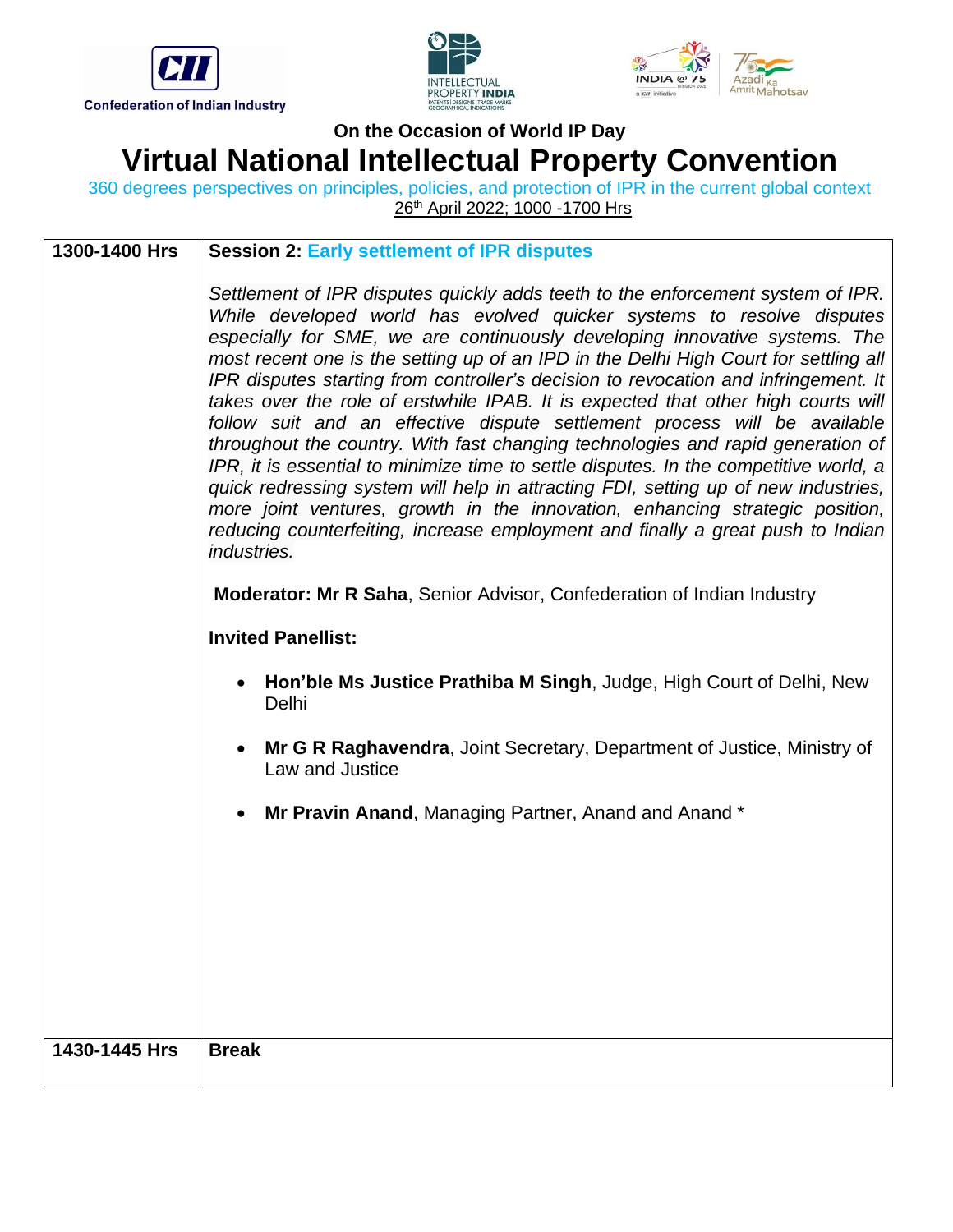





360 degrees perspectives on principles, policies, and protection of IPR in the current global context 26<sup>th</sup> April 2022; 1000 -1700 Hrs

| 1300-1400 Hrs | <b>Session 2: Early settlement of IPR disputes</b>                                                                                                                                                                                                                                                                                                                                                                                                                                                                                                                                                                                                                                                                                                                                                                                                                                                                                                                                                                                          |
|---------------|---------------------------------------------------------------------------------------------------------------------------------------------------------------------------------------------------------------------------------------------------------------------------------------------------------------------------------------------------------------------------------------------------------------------------------------------------------------------------------------------------------------------------------------------------------------------------------------------------------------------------------------------------------------------------------------------------------------------------------------------------------------------------------------------------------------------------------------------------------------------------------------------------------------------------------------------------------------------------------------------------------------------------------------------|
|               | Settlement of IPR disputes quickly adds teeth to the enforcement system of IPR.<br>While developed world has evolved quicker systems to resolve disputes<br>especially for SME, we are continuously developing innovative systems. The<br>most recent one is the setting up of an IPD in the Delhi High Court for settling all<br>IPR disputes starting from controller's decision to revocation and infringement. It<br>takes over the role of erstwhile IPAB. It is expected that other high courts will<br>follow suit and an effective dispute settlement process will be available<br>throughout the country. With fast changing technologies and rapid generation of<br>IPR, it is essential to minimize time to settle disputes. In the competitive world, a<br>quick redressing system will help in attracting FDI, setting up of new industries,<br>more joint ventures, growth in the innovation, enhancing strategic position,<br>reducing counterfeiting, increase employment and finally a great push to Indian<br>industries. |
|               | <b>Moderator: Mr R Saha, Senior Advisor, Confederation of Indian Industry</b>                                                                                                                                                                                                                                                                                                                                                                                                                                                                                                                                                                                                                                                                                                                                                                                                                                                                                                                                                               |
|               | <b>Invited Panellist:</b>                                                                                                                                                                                                                                                                                                                                                                                                                                                                                                                                                                                                                                                                                                                                                                                                                                                                                                                                                                                                                   |
|               | Hon'ble Ms Justice Prathiba M Singh, Judge, High Court of Delhi, New<br>Delhi                                                                                                                                                                                                                                                                                                                                                                                                                                                                                                                                                                                                                                                                                                                                                                                                                                                                                                                                                               |
|               | Mr G R Raghavendra, Joint Secretary, Department of Justice, Ministry of<br>$\bullet$<br>Law and Justice                                                                                                                                                                                                                                                                                                                                                                                                                                                                                                                                                                                                                                                                                                                                                                                                                                                                                                                                     |
|               | Mr Pravin Anand, Managing Partner, Anand and Anand *                                                                                                                                                                                                                                                                                                                                                                                                                                                                                                                                                                                                                                                                                                                                                                                                                                                                                                                                                                                        |
|               |                                                                                                                                                                                                                                                                                                                                                                                                                                                                                                                                                                                                                                                                                                                                                                                                                                                                                                                                                                                                                                             |
|               |                                                                                                                                                                                                                                                                                                                                                                                                                                                                                                                                                                                                                                                                                                                                                                                                                                                                                                                                                                                                                                             |
|               |                                                                                                                                                                                                                                                                                                                                                                                                                                                                                                                                                                                                                                                                                                                                                                                                                                                                                                                                                                                                                                             |
|               |                                                                                                                                                                                                                                                                                                                                                                                                                                                                                                                                                                                                                                                                                                                                                                                                                                                                                                                                                                                                                                             |
| 1430-1445 Hrs | <b>Break</b>                                                                                                                                                                                                                                                                                                                                                                                                                                                                                                                                                                                                                                                                                                                                                                                                                                                                                                                                                                                                                                |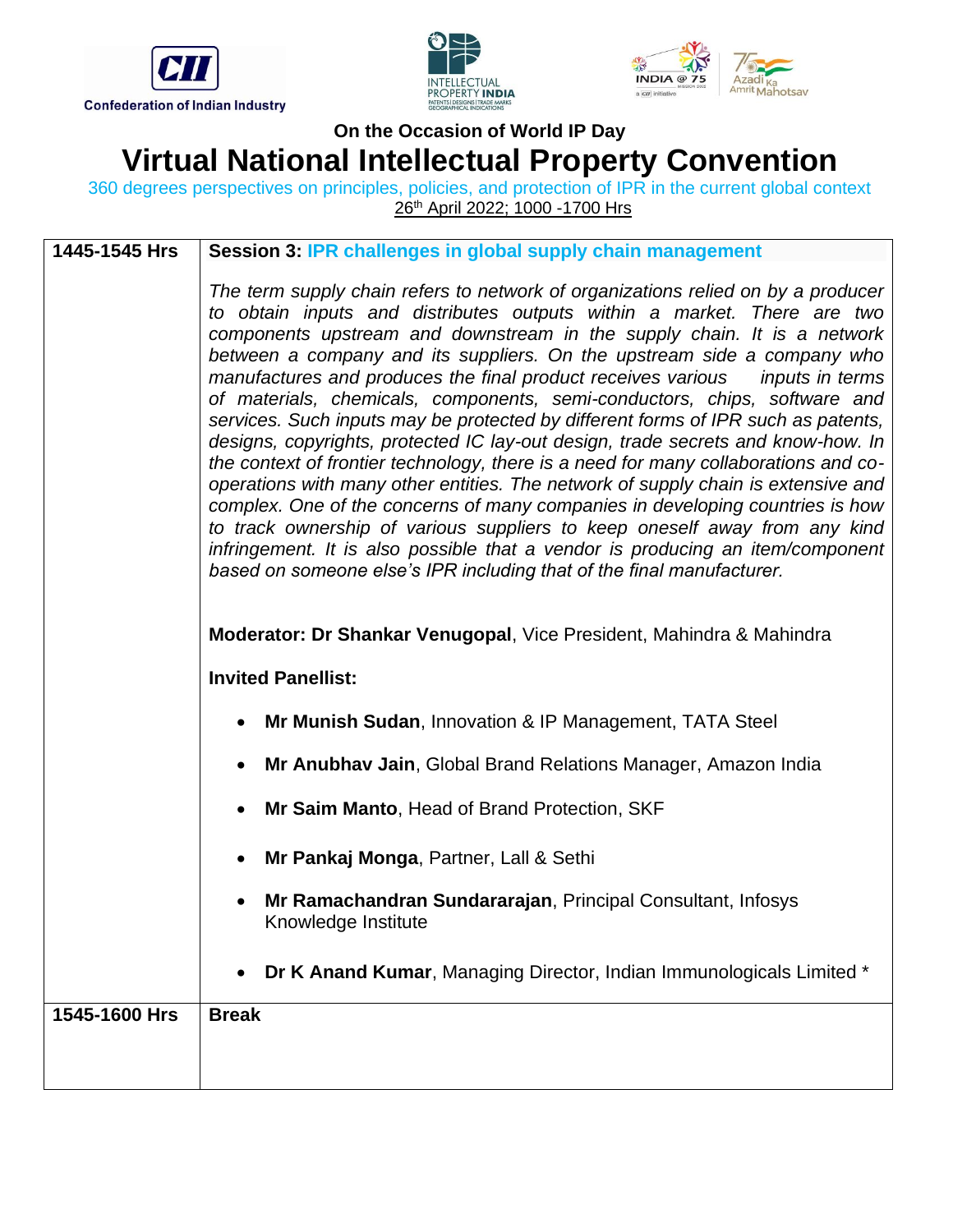





360 degrees perspectives on principles, policies, and protection of IPR in the current global context 26<sup>th</sup> April 2022; 1000 -1700 Hrs

| 1445-1545 Hrs | Session 3: IPR challenges in global supply chain management                                                                                                                                                                                                                                                                                                                                                                                                                                                                                                                                                                                                                                                                                                                                                                                                                                                                                                                                                                                                                                                                                                   |
|---------------|---------------------------------------------------------------------------------------------------------------------------------------------------------------------------------------------------------------------------------------------------------------------------------------------------------------------------------------------------------------------------------------------------------------------------------------------------------------------------------------------------------------------------------------------------------------------------------------------------------------------------------------------------------------------------------------------------------------------------------------------------------------------------------------------------------------------------------------------------------------------------------------------------------------------------------------------------------------------------------------------------------------------------------------------------------------------------------------------------------------------------------------------------------------|
|               | The term supply chain refers to network of organizations relied on by a producer<br>to obtain inputs and distributes outputs within a market. There are two<br>components upstream and downstream in the supply chain. It is a network<br>between a company and its suppliers. On the upstream side a company who<br>manufactures and produces the final product receives various inputs in terms<br>of materials, chemicals, components, semi-conductors, chips, software and<br>services. Such inputs may be protected by different forms of IPR such as patents,<br>designs, copyrights, protected IC lay-out design, trade secrets and know-how. In<br>the context of frontier technology, there is a need for many collaborations and co-<br>operations with many other entities. The network of supply chain is extensive and<br>complex. One of the concerns of many companies in developing countries is how<br>to track ownership of various suppliers to keep oneself away from any kind<br>infringement. It is also possible that a vendor is producing an item/component<br>based on someone else's IPR including that of the final manufacturer. |
|               | Moderator: Dr Shankar Venugopal, Vice President, Mahindra & Mahindra                                                                                                                                                                                                                                                                                                                                                                                                                                                                                                                                                                                                                                                                                                                                                                                                                                                                                                                                                                                                                                                                                          |
|               | <b>Invited Panellist:</b>                                                                                                                                                                                                                                                                                                                                                                                                                                                                                                                                                                                                                                                                                                                                                                                                                                                                                                                                                                                                                                                                                                                                     |
|               | Mr Munish Sudan, Innovation & IP Management, TATA Steel<br>$\bullet$                                                                                                                                                                                                                                                                                                                                                                                                                                                                                                                                                                                                                                                                                                                                                                                                                                                                                                                                                                                                                                                                                          |
|               | Mr Anubhav Jain, Global Brand Relations Manager, Amazon India                                                                                                                                                                                                                                                                                                                                                                                                                                                                                                                                                                                                                                                                                                                                                                                                                                                                                                                                                                                                                                                                                                 |
|               | Mr Saim Manto, Head of Brand Protection, SKF<br>$\bullet$                                                                                                                                                                                                                                                                                                                                                                                                                                                                                                                                                                                                                                                                                                                                                                                                                                                                                                                                                                                                                                                                                                     |
|               | Mr Pankaj Monga, Partner, Lall & Sethi<br>$\bullet$                                                                                                                                                                                                                                                                                                                                                                                                                                                                                                                                                                                                                                                                                                                                                                                                                                                                                                                                                                                                                                                                                                           |
|               | Mr Ramachandran Sundararajan, Principal Consultant, Infosys<br>Knowledge Institute                                                                                                                                                                                                                                                                                                                                                                                                                                                                                                                                                                                                                                                                                                                                                                                                                                                                                                                                                                                                                                                                            |
|               | Dr K Anand Kumar, Managing Director, Indian Immunologicals Limited *                                                                                                                                                                                                                                                                                                                                                                                                                                                                                                                                                                                                                                                                                                                                                                                                                                                                                                                                                                                                                                                                                          |
| 1545-1600 Hrs | <b>Break</b>                                                                                                                                                                                                                                                                                                                                                                                                                                                                                                                                                                                                                                                                                                                                                                                                                                                                                                                                                                                                                                                                                                                                                  |
|               |                                                                                                                                                                                                                                                                                                                                                                                                                                                                                                                                                                                                                                                                                                                                                                                                                                                                                                                                                                                                                                                                                                                                                               |